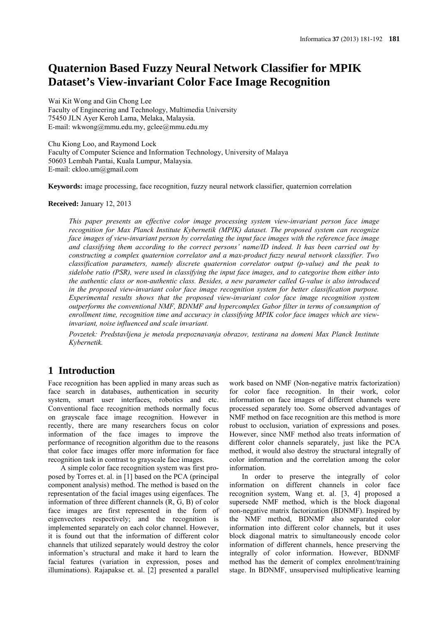# **Quaternion Based Fuzzy Neural Network Classifier for MPIK Dataset's View-invariant Color Face Image Recognition**

Wai Kit Wong and Gin Chong Lee Faculty of Engineering and Technology, Multimedia University 75450 JLN Ayer Keroh Lama, Melaka, Malaysia. E-mail: wkwong@mmu.edu.my, gclee@mmu.edu.my

Chu Kiong Loo, and Raymond Lock Faculty of Computer Science and Information Technology, University of Malaya 50603 Lembah Pantai, Kuala Lumpur, Malaysia. E-mail: ckloo.um@gmail.com

**Keywords:** image processing, face recognition, fuzzy neural network classifier, quaternion correlation

#### **Received:** January 12, 2013

*This paper presents an effective color image processing system view-invariant person face image recognition for Max Planck Institute Kybernetik (MPIK) dataset. The proposed system can recognize face images of view-invariant person by correlating the input face images with the reference face image and classifying them according to the correct persons' name/ID indeed. It has been carried out by constructing a complex quaternion correlator and a max-product fuzzy neural network classifier. Two classification parameters, namely discrete quaternion correlator output (p-value) and the peak to sidelobe ratio (PSR), were used in classifying the input face images, and to categorise them either into the authentic class or non-authentic class. Besides, a new parameter called G-value is also introduced in the proposed view-invariant color face image recognition system for better classification purpose. Experimental results shows that the proposed view-invariant color face image recognition system outperforms the conventional NMF, BDNMF and hypercomplex Gabor filter in terms of consumption of enrollment time, recognition time and accuracy in classifying MPIK color face images which are viewinvariant, noise influenced and scale invariant.*

*Povzetek: Predstavljena je metoda prepoznavanja obrazov, testirana na domeni Max Planck Institute Kybernetik.*

### **1 Introduction**

Face recognition has been applied in many areas such as face search in databases, authentication in security system, smart user interfaces, robotics and etc. Conventional face recognition methods normally focus on grayscale face image recognition. However in recently, there are many researchers focus on color information of the face images to improve the performance of recognition algorithm due to the reasons that color face images offer more information for face recognition task in contrast to grayscale face images.

A simple color face recognition system was first proposed by Torres et. al. in [1] based on the PCA (principal component analysis) method. The method is based on the representation of the facial images using eigenfaces. The information of three different channels (R, G, B) of color face images are first represented in the form of eigenvectors respectively; and the recognition is implemented separately on each color channel. However, it is found out that the information of different color channels that utilized separately would destroy the color information's structural and make it hard to learn the facial features (variation in expression, poses and illuminations). Rajapakse et. al. [2] presented a parallel work based on NMF (Non-negative matrix factorization) for color face recognition. In their work, color information on face images of different channels were processed separately too. Some observed advantages of NMF method on face recognition are this method is more robust to occlusion, variation of expressions and poses. However, since NMF method also treats information of different color channels separately, just like the PCA method, it would also destroy the structural integrally of color information and the correlation among the color information.

In order to preserve the integrally of color information on different channels in color face recognition system, Wang et. al. [3, 4] proposed a supersede NMF method, which is the block diagonal non-negative matrix factorization (BDNMF). Inspired by the NMF method, BDNMF also separated color information into different color channels, but it uses block diagonal matrix to simultaneously encode color information of different channels, hence preserving the integrally of color information. However, BDNMF method has the demerit of complex enrolment/training stage. In BDNMF, unsupervised multiplicative learning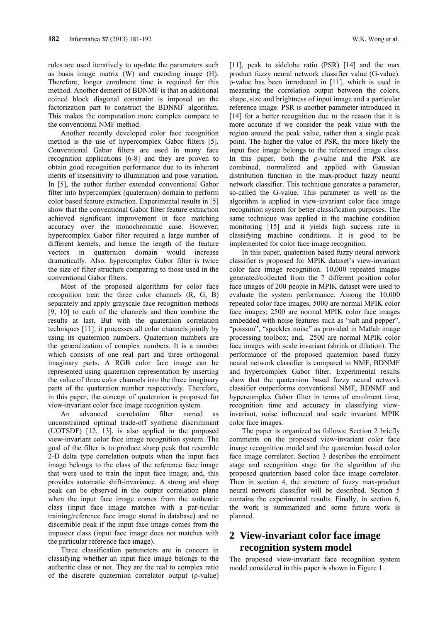rules are used iteratively to up-date the parameters such as basis image matrix (W) and encoding image (H). Therefore, longer enrolment time is required for this method. Another demerit of BDNMF is that an additional coined block diagonal constraint is imposed on the factorization part to construct the BDNMF algorithm. This makes the computation more complex compare to the conventional NMF method.

Another recently developed color face recognition method is the use of hypercomplex Gabor filters [5]. Conventional Gabor filters are used in many face recognition applications [6-8] and they are proven to obtain good recognition performance due to its inherent merits of insensitivity to illumination and pose variation. In [5], the author further extended conventional Gabor filter into hypercomplex (quaternion) domain to perform color based feature extraction. Experimental results in [5] show that the conventional Gabor filter feature extraction achieved significant improvement in face matching accuracy over the monochromatic case. However, hypercomplex Gabor filter required a large number of different kernels, and hence the length of the feature vectors in quaternion domain would increase dramatically. Also, hypercomplex Gabor filter is twice the size of filter structure comparing to those used in the conventional Gabor filters.

Most of the proposed algorithms for color face recognition treat the three color channels (R, G, B) separately and apply grayscale face recognition methods [9, 10] to each of the channels and then combine the results at last. But with the quaternion correlation techniques [11], it processes all color channels jointly by using its quaternion numbers. Quaternion numbers are the generalization of complex numbers. It is a number which consists of one real part and three orthogonal imaginary parts. A RGB color face image can be represented using quaternion representation by inserting the value of three color channels into the three imaginary parts of the quaternion number respectively. Therefore, in this paper, the concept of quaternion is proposed for view-invariant color face image recognition system.

An advanced correlation filter named as unconstrained optimal trade-off synthetic discriminant (UOTSDF) [12, 13], is also applied in the proposed view-invariant color face image recognition system. The goal of the filter is to produce sharp peak that resemble 2-D delta type correlation outputs when the input face image belongs to the class of the reference face image that were used to train the input face image; and, this provides automatic shift-invariance. A strong and sharp peak can be observed in the output correlation plane when the input face image comes from the authentic class (input face image matches with a par-ticular training/reference face image stored in database) and no discernible peak if the input face image comes from the imposter class (input face image does not matches with the particular reference face image).

Three classification parameters are in concern in classifying whether an input face image belongs to the authentic class or not. They are the real to complex ratio of the discrete quaternion correlator output (ρ-value)

[11], peak to sidelobe ratio (PSR) [14] and the max product fuzzy neural network classifier value (G-value). ρ-value has been introduced in [11], which is used in measuring the correlation output between the colors, shape, size and brightness of input image and a particular reference image. PSR is another parameter introduced in [14] for a better recognition due to the reason that it is more accurate if we consider the peak value with the region around the peak value, rather than a single peak point. The higher the value of PSR, the more likely the input face image belongs to the referenced image class. In this paper, both the ρ-value and the PSR are combined, normalized and applied with Gaussian distribution function in the max-product fuzzy neural network classifier. This technique generates a parameter, so-called the G-value. This parameter as well as the algorithm is applied in view-invariant color face image recognition system for better classification purposes. The same technique was applied in the machine condition monitoring [15] and it yields high success rate in classifying machine conditions. It is good to be implemented for color face image recognition.

In this paper, quaternion based fuzzy neural network classifier is proposed for MPIK dataset's view-invariant color face image recognition. 10,000 repeated images generated/collected from the 7 different position color face images of 200 people in MPIK dataset were used to evaluate the system performance. Among the 10,000 repeated color face images, 5000 are normal MPIK color face images; 2500 are normal MPIK color face images embedded with noise features such as "salt and pepper", "poisson", "speckles noise" as provided in Matlab image processing toolbox; and, 2500 are normal MPIK color face images with scale invariant (shrink or dilation). The performance of the proposed quaternion based fuzzy neural network classifier is compared to NMF, BDNMF and hypercomplex Gabor filter. Experimental results show that the quaternion based fuzzy neural network classifier outperforms conventional NMF, BDNMF and hypercomplex Gabor filter in terms of enrolment time, recognition time and accuracy in classifying viewinvariant, noise influenced and scale invariant MPIK color face images.

The paper is organized as follows: Section 2 briefly comments on the proposed view-invariant color face image recognition model and the quaternion based color face image correlator. Section 3 describes the enrolment stage and recognition stage for the algorithm of the proposed quaternion based color face image correlator. Then in section 4, the structure of fuzzy max-product neural network classifier will be described. Section 5 contains the experimental results. Finally, in section 6, the work is summarized and some future work is planned.

## **2 View-invariant color face image recognition system model**

The proposed view-invariant face recognition system model considered in this paper is shown in Figure 1.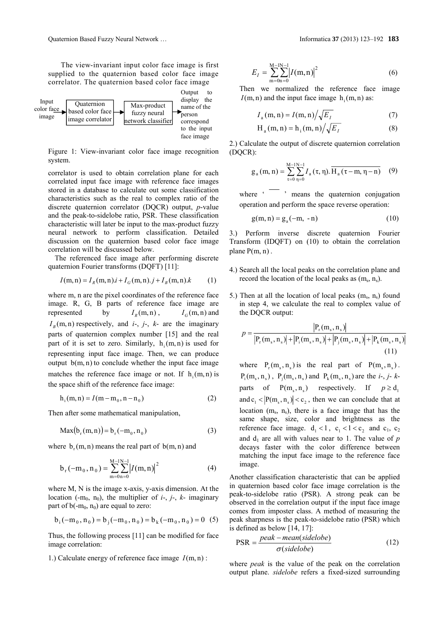The view-invariant input color face image is first supplied to the quaternion based color face image correlator. The quaternion based color face image



Figure 1: View-invariant color face image recognition system.

correlator is used to obtain correlation plane for each correlated input face image with reference face images stored in a database to calculate out some classification characteristics such as the real to complex ratio of the discrete quaternion correlator (DQCR) output, *p*-value and the peak-to-sidelobe ratio, PSR. These classification characteristic will later be input to the max-product fuzzy neural network to perform classification. Detailed discussion on the quaternion based color face image correlation will be discussed below.

The referenced face image after performing discrete quaternion Fourier transforms (DQFT) [11]:

$$
I(m, n) = I_R(m, n) \cdot i + I_G(m, n) \cdot j + I_B(m, n) \cdot k \tag{1}
$$

where m, n are the pixel coordinates of the reference face image. R, G, B parts of reference face image are represented by  $I_R(m, n)$ ,  $I_G(m, n)$  and  $I<sub>B</sub>(m, n)$  respectively, and *i*-, *j*-, *k*- are the imaginary parts of quaternion complex number [15] and the real part of it is set to zero. Similarly,  $h_i(m, n)$  is used for representing input face image. Then, we can produce output  $b(m, n)$  to conclude whether the input face image matches the reference face image or not. If  $h_i(m, n)$  is the space shift of the reference face image:

$$
h_i(m, n) = I(m - m_0, n - n_0)
$$
 (2)

Then after some mathematical manipulation,

$$
Max(b_r(m, n)) = b_r(-m_0, n_0)
$$
 (3)

where  $b_r(m, n)$  means the real part of  $b(m, n)$  and

$$
b_{r}(-m_{0}, n_{0}) = \sum_{m=0}^{M-1} \sum_{n=0}^{N-1} |I(m, n)|^{2}
$$
 (4)

where M, N is the image x-axis, y-axis dimension. At the location (-m<sub>0</sub>, n<sub>0</sub>), the multiplier of  $i$ -,  $j$ -,  $k$ - imaginary part of  $b(-m_0, n_0)$  are equal to zero:

$$
b_i(-m_0, n_0) = b_j(-m_0, n_0) = b_k(-m_0, n_0) = 0
$$
 (5)

Thus, the following process [11] can be modified for face image correlation:

1.) Calculate energy of reference face image  $I(m, n)$ :

$$
E_I = \sum_{m=0}^{M-1} \sum_{n=0}^{N-1} |I(m,n)|^2
$$
 (6)

Then we normalized the reference face image  $I(m, n)$  and the input face image  $h_i(m, n)$  as:

$$
I_{\rm a}(m,n) = I(m,n) / \sqrt{E_I} \tag{7}
$$

$$
H_a(m, n) = h_i(m, n) / \sqrt{E_I}
$$
 (8)

2.) Calculate the output of discrete quaternion correlation (DQCR):

$$
g_a(m, n) = \sum_{\tau=0}^{M-1} \sum_{\eta=0}^{N-1} I_a(\tau, \eta). \overline{H_a(\tau-m, \eta-n)} \quad (9)
$$

where  $\cdot$   $\cdot$   $\cdot$  means the quaternion conjugation operation and perform the space reverse operation:

$$
g(m, n) = g_a(-m, -n) \tag{10}
$$

3.) Perform inverse discrete quaternion Fourier Transform (IDQFT) on (10) to obtain the correlation plane  $P(m, n)$ .

- 4.) Search all the local peaks on the correlation plane and record the location of the local peaks as  $(m_s, n_s)$ .
- 5.) Then at all the location of local peaks  $(m_s, n_s)$  found in step 4, we calculate the real to complex value of the DQCR output:

$$
p = \frac{|P_r(m_s, n_s)|}{|P_r(m_s, n_s)| + |P_i(m_s, n_s)| + |P_j(m_s, n_s)| + |P_k(m_s, n_s)|}
$$
(11)

where  $P_r(m_s, n_s)$  is the real part of  $P(m_s, n_s)$ .  $P_i(m_s, n_s)$ ,  $P_i(m_s, n_s)$  and  $P_k(m_s, n_s)$  are the *i*-, *j*- *k*parts of  $P(m_s, n_s)$  respectively. If  $p \ge d_1$ and  $c_1$  <  $|P(m_s, n_s)| < c_2$ , then we can conclude that at location  $(m_s, n_s)$ , there is a face image that has the same shape, size, color and brightness as the reference face image.  $d_1 < 1$ ,  $c_1 < 1 < c_2$  and  $c_1$ ,  $c_2$ and  $d_1$  are all with values near to 1. The value of  $p$ decays faster with the color difference between matching the input face image to the reference face image.

Another classification characteristic that can be applied in quaternion based color face image correlation is the peak-to-sidelobe ratio (PSR). A strong peak can be observed in the correlation output if the input face image comes from imposter class. A method of measuring the peak sharpness is the peak-to-sidelobe ratio (PSR) which is defined as below [14, 17]:

$$
PSR = \frac{peak - mean(sidelobe)}{\sigma(sidelobe)}\tag{12}
$$

where *peak* is the value of the peak on the correlation output plane. *sidelobe* refers a fixed-sized surrounding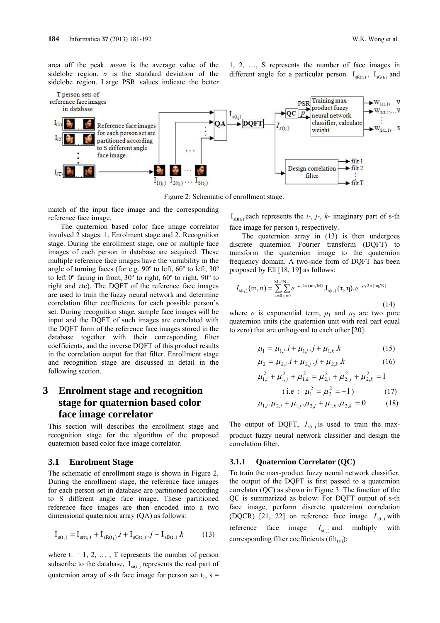area off the peak. *mean* is the average value of the sidelobe region.  $\sigma$  is the standard deviation of the sidelobe region. Large PSR values indicate the better





Figure 2: Schematic of enrollment stage.

match of the input face image and the corresponding reference face image.

The quaternion based color face image correlator involved 2 stages: 1. Enrolment stage and 2. Recognition stage. During the enrollment stage, one or multiple face images of each person in database are acquired. These multiple reference face images have the variability in the angle of turning faces (for e.g. 90º to left, 60º to left, 30º to left 0º facing in front, 30º to right, 60º to right, 90º to right and etc). The DQFT of the reference face images are used to train the fuzzy neural network and determine correlation filter coefficients for each possible person's set. During recognition stage, sample face images will be input and the DQFT of such images are correlated with the DQFT form of the reference face images stored in the database together with their corresponding filter coefficients, and the inverse DQFT of this product results in the correlation output for that filter. Enrollment stage and recognition stage are discussed in detail in the following section.

## **3 Enrolment stage and recognition stage for quaternion based color face image correlator**

This section will describes the enrollment stage and recognition stage for the algorithm of the proposed quaternion based color face image correlator.

#### **3.1 Enrolment Stage**

The schematic of enrollment stage is shown in Figure 2. During the enrollment stage, the reference face images for each person set in database are partitioned according to S different angle face image. These partitioned reference face images are then encoded into a two dimensional quaternion array (QA) as follows:

$$
\mathbf{I}_{s(t_1)} = \mathbf{I}_{s(t_1)} + \mathbf{I}_{sR(t_1)} \cdot \mathbf{i} + \mathbf{I}_{sG(t_1)} \cdot \mathbf{j} + \mathbf{I}_{sR(t_1)} \cdot \mathbf{k} \tag{13}
$$

where  $t_1 = 1, 2, \ldots, T$  represents the number of person subscribe to the database,  $I_{\text{sr}(t_1)}$  represents the real part of quaternion array of s-th face image for person set  $t_1$ , s =

 $I_{\text{sB(t)}}$  each represents the *i*-, *j*-, *k*- imaginary part of s-th face image for person  $t_1$  respectively.

The quaternion array in (13) is then undergoes discrete quaternion Fourier transform (DQFT) to transform the quaternion image to the quaternion frequency domain. A two-side form of DQFT has been proposed by Ell [18, 19] as follows:

$$
I_{s(t_1)}(m, n) = \sum_{\tau=0}^{M-1} \sum_{\eta=0}^{N-1} e^{-\mu_1 2\pi (m\tau/M)} \cdot I_{s(t_1)}(\tau, \eta) \cdot e^{-\mu_2 2\pi (m/N)}
$$
(14)

where *e* is exponential term,  $\mu_1$  and  $\mu_2$  are two pure quaternion units (the quaternion unit with real part equal to zero) that are orthogonal to each other [20]:

$$
\mu_1 = \mu_{1,i} \cdot i + \mu_{1,j} \cdot j + \mu_{1,k} \cdot k \tag{15}
$$

$$
\mu_2 = \mu_{2,i} \, i + \mu_{2,j} \, j + \mu_{2,k} \, k \tag{16}
$$

$$
\mu_{1,i}^2 + \mu_{1,j}^2 + \mu_{1,k}^2 = \mu_{2,i}^2 + \mu_{2,j}^2 + \mu_{2,k}^2 = 1
$$
  
(i.e:  $\mu_1^2 = \mu_2^2 = -1$ ) (17)

$$
\mu_{1,i} \cdot \mu_{2,i} + \mu_{1,j} \cdot \mu_{2,j} + \mu_{1,k} \cdot \mu_{2,k} = 0 \tag{18}
$$

The output of DQFT,  $I_{\text{st.}}$  is used to train the maxproduct fuzzy neural network classifier and design the correlation filter.

#### **3.1.1 Quaternion Correlator (QC)**

To train the max-product fuzzy neural network classifier, the output of the DQFT is first passed to a quaternion correlator (QC) as shown in Figure 3. The function of the QC is summarized as below: For DQFT output of s-th face image, perform discrete quaternion correlation (DQCR) [21, 22] on reference face image  $I_{\text{st}}$  with reference face image  $I_{\text{st}, \text{d}}$  and multiply with corresponding filter coefficients (filt $_{(t2)}$ ):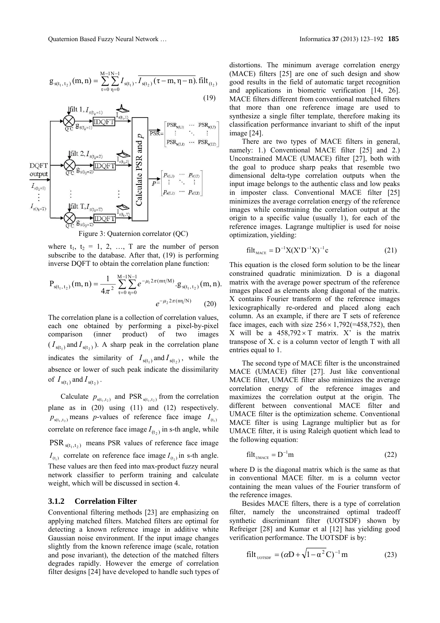$$
g_{s(t_1, t_2)}(m, n) = \sum_{\tau=0}^{M-1} \sum_{\eta=0}^{N-1} I_{s(t_1)} \cdot \overline{I_{s(t_2)}(\tau - m, \eta - n)} \cdot \text{filt}_{(t_2)}
$$
\n(19)



Figure 3: Quaternion correlator (QC)

where  $t_1$ ,  $t_2 = 1, 2, ..., T$  are the number of person subscribe to the database. After that, (19) is performing inverse DQFT to obtain the correlation plane function:

$$
P_{s(t_1, t_2)}(m, n) = \frac{1}{4\pi^2} \sum_{\tau=0}^{M-1} \sum_{\eta=0}^{N-1} e^{-\mu_1 2\pi (m\tau/M)} \cdot g_{s(t_1, t_2)}(m, n).
$$
  

$$
e^{-\mu_2 2\pi (m/N)} \tag{20}
$$

The correlation plane is a collection of correlation values, each one obtained by performing a pixel-by-pixel comparison (inner product) of two images  $(I_{s(t_1)}$  and  $I_{s(t_2)}$ ). A sharp peak in the correlation plane indicates the similarity of  $I_{s(t_1)}$  and  $I_{s(t_2)}$ , while the absence or lower of such peak indicate the dissimilarity of  $I_{s(t_1)}$  and  $I_{s(t_2)}$ .

Calculate  $p_{s(t_1, t_2)}$  and PSR<sub> $s(t_1, t_2)$ </sub> from the correlation plane as in (20) using (11) and (12) respectively.  $p_{s(t_1, t_2)}$  means *p*-values of reference face image  $I_{(t_1)}$ correlate on reference face image  $I_{(t_2)}$  in s-th angle, while  $PSR_{s(t_1, t_2)}$  means PSR values of reference face image  $I_{(t_1)}$  correlate on reference face image  $I_{(t_2)}$  in s-th angle. These values are then feed into max-product fuzzy neural network classifier to perform training and calculate weight, which will be discussed in section 4.

#### **3.1.2 Correlation Filter**

Conventional filtering methods [23] are emphasizing on applying matched filters. Matched filters are optimal for detecting a known reference image in additive white Gaussian noise environment. If the input image changes slightly from the known reference image (scale, rotation and pose invariant), the detection of the matched filters degrades rapidly. However the emerge of correlation filter designs [24] have developed to handle such types of distortions. The minimum average correlation energy (MACE) filters [25] are one of such design and show good results in the field of automatic target recognition and applications in biometric verification [14, 26]. MACE filters different from conventional matched filters that more than one reference image are used to synthesize a single filter template, therefore making its classification performance invariant to shift of the input image [24].

There are two types of MACE filters in general, namely: 1.) Conventional MACE filter [25] and 2.) Unconstrained MACE (UMACE) filter [27], both with the goal to produce sharp peaks that resemble two dimensional delta-type correlation outputs when the input image belongs to the authentic class and low peaks in imposter class. Conventional MACE filter [25] minimizes the average correlation energy of the reference images while constraining the correlation output at the origin to a specific value (usually 1), for each of the reference images. Lagrange multiplier is used for noise optimization, yielding:

$$
filt_{\text{MACE}} = D^{-1}X(X'D^{-1}X)^{-1}c
$$
 (21)

This equation is the closed form solution to be the linear constrained quadratic minimization. D is a diagonal matrix with the average power spectrum of the reference images placed as elements along diagonal of the matrix. X contains Fourier transform of the reference images lexicographically re-ordered and placed along each column. As an example, if there are T sets of reference face images, each with size  $256 \times 1,792$ (=458,752), then X will be a  $458,792 \times T$  matrix. X' is the matrix transpose of X. c is a column vector of length T with all entries equal to 1.

The second type of MACE filter is the unconstrained MACE (UMACE) filter [27]. Just like conventional MACE filter, UMACE filter also minimizes the average correlation energy of the reference images and maximizes the correlation output at the origin. The different between conventional MACE filter and UMACE filter is the optimization scheme. Conventional MACE filter is using Lagrange multiplier but as for UMACE filter, it is using Raleigh quotient which lead to the following equation:

$$
filt_{\text{UMACE}} = D^{-1}m \tag{22}
$$

where D is the diagonal matrix which is the same as that in conventional MACE filter. m is a column vector containing the mean values of the Fourier transform of the reference images.

Besides MACE filters, there is a type of correlation filter, namely the unconstrained optimal tradeoff synthetic discriminant filter (UOTSDF) shown by Refreiger [28] and Kumar et al [12] has yielding good verification performance. The UOTSDF is by:

$$
\text{filt}_{\text{UOTSDF}} = (\alpha \mathbf{D} + \sqrt{1 - \alpha^2} \mathbf{C})^{-1} \mathbf{m} \tag{23}
$$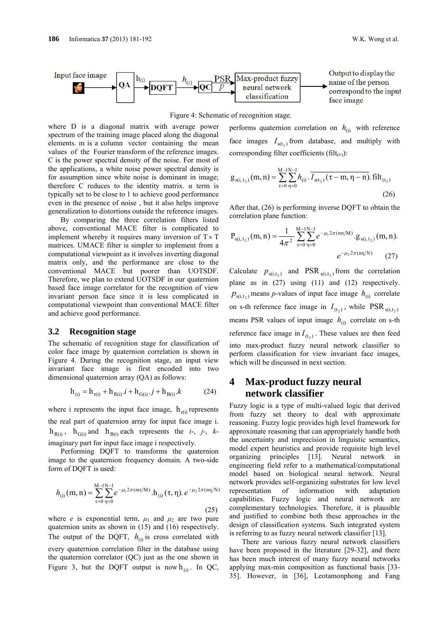

Figure 4: Schematic of recognition stage.

where D is a diagonal matrix with average power spectrum of the training image placed along the diagonal elements. m is a column vector containing the mean values of the Fourier transform of the reference images. C is the power spectral density of the noise. For most of the applications, a white noise power spectral density is for assumption since white noise is dominant in image; therefore C reduces to the identity matrix.  $α$  term is typically set to be close to 1 to achieve good performance even in the presence of noise , but it also helps improve generalization to distortions outside the reference images.

By comparing the three correlation filters listed above, conventional MACE filter is complicated to implement whereby it requires many inversion of  $T \times T$ matrices. UMACE filter is simpler to implement from a computational viewpoint as it involves inverting diagonal matrix only, and the performance are close to the conventional MACE but poorer than UOTSDF. Therefore, we plan to extend UOTSDF in our quaternion based face image correlator for the recognition of view invariant person face since it is less complicated in computational viewpoint than conventional MACE filter and achieve good performance.

#### **3.2 Recognition stage**

The schematic of recognition stage for classification of color face image by quaternion correlation is shown in Figure 4. During the recognition stage, an input view invariant face image is first encoded into two dimensional quaternion array (QA) as follows:

$$
h_{(i)} = h_{r(i)} + h_{R(i)} \cdot i + h_{G(i)} \cdot j + h_{B(i)} \cdot k \tag{24}
$$

where i represents the input face image,  $h_{\rm r(i)}$  represents the real part of quaternion array for input face image i.  $h_{R(i)}$ ,  $h_{G(i)}$  and  $h_{B(i)}$  each represents the *i*-, *j*-, *k*imaginary part for input face image i respectively.

Performing DQFT to transforms the quaternion image to the quaternion frequency domain. A two-side form of DQFT is used:

$$
h_{(i)}(m,n) = \sum_{\tau=0}^{M-1} \sum_{\eta=0}^{N-1} e^{-\mu_1 2\pi (m\tau/M)} \cdot h_{(i)}(\tau,\eta) \cdot e^{-\mu_2 2\pi (n\eta/N)}
$$
(25)

where *e* is exponential term,  $\mu_1$  and  $\mu_2$  are two pure quaternion units as shown in (15) and (16) respectively. The output of the DQFT,  $h_{(i)}$  is cross correlated with every quaternion correlation filter in the database using the quaternion correlator (QC) just as the one shown in Figure 3, but the DQFT output is now  $h_{(i)}$ . In QC, performs quaternion correlation on  $h_{(i)}$  with reference face images  $I_{s(t_2)}$  from database, and multiply with corresponding filter coefficients (filt $_{(t_2)}$ ):

$$
g_{s(i, t_2)}(m, n) = \sum_{\tau=0}^{M-1} \sum_{\eta=0}^{N-1} h_{(i)} \cdot \overline{I_{s(t_2)}(\tau - m, \eta - n)} \text{. } \text{filt}_{(t_2)}
$$
\n(26)

After that, (26) is performing inverse DQFT to obtain the correlation plane function:

$$
P_{s(i, t_2)}(m, n) = \frac{1}{4\pi^2} \sum_{\tau=0}^{M-1} \sum_{\eta=0}^{N-1} e^{-\mu_1 2\pi (m\tau/M)} g_{s(i, t_2)}(m, n).
$$
  
 
$$
e^{-\mu_2 2\pi (m/N)} \qquad (27)
$$

Calculate  $p_{s(i,t_2)}$  and PSR  $_{s(i,t_2)}$  from the correlation plane as in (27) using (11) and (12) respectively.  $p_{s(i,t_2)}$  means *p*-values of input face image  $h_{(i)}$  correlate on s-th reference face image in  $I_{(t_2)}$ , while PSR<sub>s(i,t<sub>2</sub>)</sub> means PSR values of input image  $h_{(i)}$  correlate on s-th reference face image in  $I_{(t_2)}$ . These values are then feed into max-product fuzzy neural network classifier to perform classification for view invariant face images, which will be discussed in next section.

## **4 Max-product fuzzy neural network classifier**

Fuzzy logic is a type of multi-valued logic that derived from fuzzy set theory to deal with approximate reasoning. Fuzzy logic provides high level framework for approximate reasoning that can appropriately handle both the uncertainty and imprecision in linguistic semantics, model expert heuristics and provide requisite high level organizing principles [13]. Neural network in engineering field refer to a mathematical/computational model based on biological neural network. Neural network provides self-organizing substrates for low level representation of information with adaptation capabilities. Fuzzy logic and neural network are complementary technologies. Therefore, it is plausible and justified to combine both these approaches in the design of classification systems. Such integrated system is referring to as fuzzy neural network classifier [13].

There are various fuzzy neural network classifiers have been proposed in the literature [29-32], and there has been much interest of many fuzzy neural networks applying max-min composition as functional basis [33- 35]. However, in [36], Leotamonphong and Fang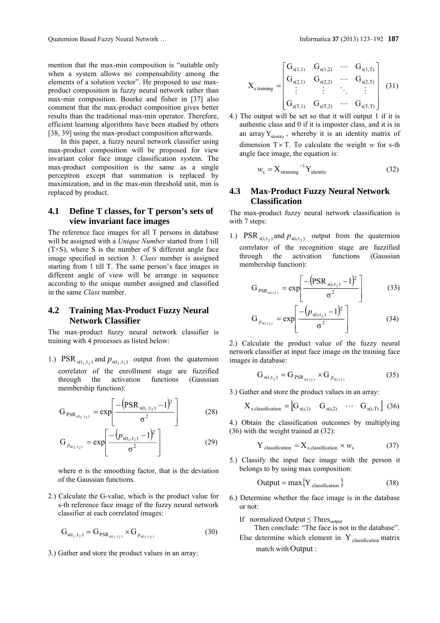mention that the max-min composition is "suitable only when a system allows no compensability among the elements of a solution vector". He proposed to use maxproduct composition in fuzzy neural network rather than max-min composition. Bourke and fisher in [37] also comment that the max-product composition gives better results than the traditional max-min operator. Therefore, efficient learning algorithms have been studied by others [38, 39] using the max-product composition afterwards.

In this paper, a fuzzy neural network classifier using max-product composition will be proposed for view invariant color face image classification system. The max-product composition is the same as a single perceptron except that summation is replaced by maximization, and in the max-min threshold unit, min is replaced by product.

### **4.1 Define T classes, for T person's sets of view invariant face images**

The reference face images for all T persons in database will be assigned with a *Unique Number* started from 1 till  $(T \times S)$ , where S is the number of S different angle face image specified in section 3. *Class* number is assigned starting from 1 till T. The same person's face images in different angle of view will be arrange in sequence according to the unique number assigned and classified in the same *Class* number.

### **4.2 Training Max-Product Fuzzy Neural Network Classifier**

The max-product fuzzy neural network classifier is training with 4 processes as listed below:

1.)  $PSR_{s(t_1, t_2)}$  and  $p_{s(t_1, t_2)}$  output from the quaternion correlator of the enrollment stage are fuzzified through the activation functions (Gaussian membership function):

$$
G_{PSR_{s(t_1,t_2)}} = \exp\left[\frac{-\left(PSR_{s(t_1,t_2)} - 1\right)^2}{\sigma^2}\right]
$$
 (28)

$$
G_{p_{s(t_1, t_2)}} = \exp\left[\frac{-\left(p_{s(t_1, t_2)} - 1\right)^2}{\sigma^2}\right]
$$
 (29)

where  $\sigma$  is the smoothing factor, that is the deviation of the Gaussian functions.

2.) Calculate the G-value, which is the product value for s-th reference face image of the fuzzy neural network classifier at each correlated images:

$$
G_{s(t_1, t_2)} = G_{PSR_{s(t_1, t_2)}} \times G_{p_{s(t_1, t_2)}}
$$
\n(30)

3.) Gather and store the product values in an array:

$$
X_{\text{staining}} = \begin{bmatrix} G_{s(1,1)} & G_{s(1,2)} & \cdots & G_{s(1,T)} \\ G_{s(2,1)} & G_{s(2,2)} & \cdots & G_{s(2,T)} \\ \vdots & \vdots & \ddots & \vdots \\ G_{s(T,1)} & G_{s(T,2)} & \cdots & G_{s(T,T)} \end{bmatrix}
$$
(31)

4.) The output will be set so that it will output 1 if it is authentic class and 0 if it is imposter class, and it is in an array  $Y_{identity}$ , whereby it is an identity matrix of dimension  $T \times T$ . To calculate the weight *w* for s-th angle face image, the equation is:

$$
W_{\rm s} = X_{\rm straining}^{-1} Y_{\rm identity}
$$
 (32)

### **4.3 Max-Product Fuzzy Neural Network Classification**

The max-product fuzzy neural network classification is with 7 steps:

1.)  $PSR_{s(i,t_2)}$  and  $p_{s(i,t_2)}$  output from the quaternion correlator of the recognition stage are fuzzified through the activation functions (Gaussian membership function):

$$
G_{PSR_{s(i,t_2)}} = exp \left[ \frac{-\left( PSR_{s(i,t_2)} - 1\right)^2}{\sigma^2} \right]
$$
(33)

$$
G_{p_{s(i,t_2)}} = \exp\left[\frac{-(p_{s(i,t_2)} - 1)^2}{\sigma^2}\right]
$$
 (34)

2.) Calculate the product value of the fuzzy neural network classifier at input face image on the training face images in database:

$$
G_{s(i,t_2)} = G_{PSR_{s(i,t_2)}} \times G_{p_{s(i,t_2)}}
$$
(35)

3.) Gather and store the product values in an array:

$$
X_{\text{s classification}} = \begin{bmatrix} G_{s(i,1)} & G_{s(i,2)} & \cdots & G_{s(i,T)} \end{bmatrix} \tag{36}
$$

4.) Obtain the classification outcomes by multiplying (36) with the weight trained at (32):

$$
Y_{\text{classification}} = X_{\text{sclassification}} \times w_{\text{s}} \tag{37}
$$

5.) Classify the input face image with the person it belongs to by using max composition:

$$
Output = max{Y_{classification}} \t(38)
$$

6.) Determine whether the face image is in the database or not:

If normalized Output  $\leq$  Thres<sub>output</sub>

- Then conclude: "The face is not in the database".
- Else determine which element in  $Y_{classification}$  matrix match with Output :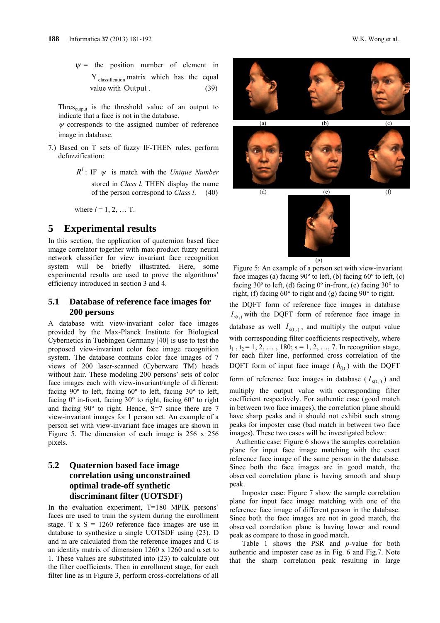$\psi$  = the position number of element in  $Y_{classification}$  matrix which has the equal value with Output . (39)

Thres $_{\text{output}}$  is the threshold value of an output to indicate that a face is not in the database.

 $\psi$  corresponds to the assigned number of reference image in database.

- 7.) Based on T sets of fuzzy IF-THEN rules, perform defuzzification:
	- $R^l$ : IF  $\psi$  is match with the *Unique Number* stored in *Class l*, THEN display the name of the person correspond to *Class l*. (40)

where  $l = 1, 2, ...$  T.

### **5 Experimental results**

In this section, the application of quaternion based face image correlator together with max-product fuzzy neural network classifier for view invariant face recognition system will be briefly illustrated. Here, some experimental results are used to prove the algorithms' efficiency introduced in section 3 and 4.

### **5.1 Database of reference face images for 200 persons**

A database with view-invariant color face images provided by the Max-Planck Institute for Biological Cybernetics in Tuebingen Germany [40] is use to test the proposed view-invariant color face image recognition system. The database contains color face images of 7 views of 200 laser-scanned (Cyberware TM) heads without hair. These modeling 200 persons' sets of color face images each with view-invariant/angle of different: facing  $90^\circ$  to left, facing  $60^\circ$  to left, facing  $30^\circ$  to left, facing 0º in-front, facing 30° to right, facing 60° to right and facing 90° to right. Hence, S=7 since there are 7 view-invariant images for 1 person set. An example of a person set with view-invariant face images are shown in Figure 5. The dimension of each image is 256 x 256 pixels.

### **5.2 Quaternion based face image correlation using unconstrained optimal trade-off synthetic discriminant filter (UOTSDF)**

In the evaluation experiment, T=180 MPIK persons' faces are used to train the system during the enrollment stage. T  $x S = 1260$  reference face images are use in database to synthesize a single UOTSDF using (23). D and m are calculated from the reference images and C is an identity matrix of dimension 1260 x 1260 and  $\alpha$  set to 1. These values are substituted into (23) to calculate out the filter coefficients. Then in enrollment stage, for each filter line as in Figure 3, perform cross-correlations of all





Figure 5: An example of a person set with view-invariant face images (a) facing 90º to left, (b) facing 60º to left, (c) facing  $30^{\circ}$  to left, (d) facing  $0^{\circ}$  in-front, (e) facing  $30^{\circ}$  to right, (f) facing 60° to right and (g) facing 90° to right.

the DQFT form of reference face images in database  $I_{\text{st}(t)}$  with the DQFT form of reference face image in database as well  $I_{s(t_2)}$ , and multiply the output value with corresponding filter coefficients respectively, where  $t_1$ ,  $t_2$  = 1, 2, ..., 180; s = 1, 2, ..., 7. In recognition stage, for each filter line, performed cross correlation of the DQFT form of input face image  $(h_{(i)})$  with the DQFT form of reference face images in database  $(I<sub>s(t<sub>2</sub>)</sub>)$  and multiply the output value with corresponding filter coefficient respectively. For authentic case (good match in between two face images), the correlation plane should have sharp peaks and it should not exhibit such strong peaks for imposter case (bad match in between two face images). These two cases will be investigated below:

Authentic case: Figure 6 shows the samples correlation plane for input face image matching with the exact reference face image of the same person in the database. Since both the face images are in good match, the observed correlation plane is having smooth and sharp peak.

Imposter case: Figure 7 show the sample correlation plane for input face image matching with one of the reference face image of different person in the database. Since both the face images are not in good match, the observed correlation plane is having lower and round peak as compare to those in good match.

Table 1 shows the PSR and *p*-value for both authentic and imposter case as in Fig. 6 and Fig.7. Note that the sharp correlation peak resulting in large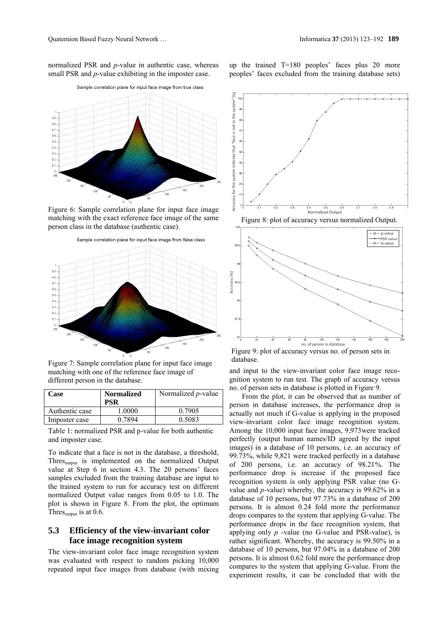normalized PSR and *p*-value in authentic case, whereas small PSR and *p*-value exhibiting in the imposter case.



Figure 6: Sample correlation plane for input face image matching with the exact reference face image of the same person class in the database (authentic case).



Figure 7: Sample correlation plane for input face image matching with one of the reference face image of different person in the database.

| Case           | <b>Normalized</b><br>PSR | Normalized <i>p</i> -value |
|----------------|--------------------------|----------------------------|
| Authentic case | 1.0000                   | 0.7905                     |
| Imposter case  | 0.7894                   | 0.5083                     |

Table 1: normalized PSR and p-value for both authentic and imposter case.

To indicate that a face is not in the database, a threshold, Thres<sub>output</sub> is implemented on the normalized Output value at Step 6 in section 4.3. The 20 persons' faces samples excluded from the training database are input to the trained system to run for accuracy test on different normalized Output value ranges from 0.05 to 1.0. The plot is shown in Figure 8. From the plot, the optimum Thres $_{\text{output}}$  is at 0.6.

### **5.3 Efficiency of the view-invariant color face image recognition system**

The view-invariant color face image recognition system was evaluated with respect to random picking 10,000 repeated input face images from database (with mixing



Figure 8: plot of accuracy versus normalized Output.



Figure 9: plot of accuracy versus no. of person sets in database.

and input to the view-invariant color face image recognition system to run test. The graph of accuracy versus no. of person sets in database is plotted in Figure 9.

From the plot, it can be observed that as number of person in database increases, the performance drop is actually not much if G-value is applying in the proposed view-invariant color face image recognition system. Among the 10,000 input face images, 9,973were tracked perfectly (output human names/ID agreed by the input images) in a database of 10 persons, i.e. an accuracy of 99.73%, while 9,821 were tracked perfectly in a database of 200 persons, i.e. an accuracy of 98.21%. The performance drop is increase if the proposed face recognition system is only applying PSR value (no Gvalue and *p*-value) whereby, the accuracy is 99.62% in a database of 10 persons, but 97.73% in a database of 200 persons. It is almost 0.24 fold more the performance drops compares to the system that applying G-value. The performance drops in the face recognition system, that applying only *p* -value (no G-value and PSR-value), is rather significant. Whereby, the accuracy is 99.50% in a database of 10 persons, but 97.04% in a database of 200 persons. It is almost 0.62 fold more the performance drop compares to the system that applying G-value. From the experiment results, it can be concluded that with the

up the trained T=180 peoples' faces plus 20 more peoples' faces excluded from the training database sets)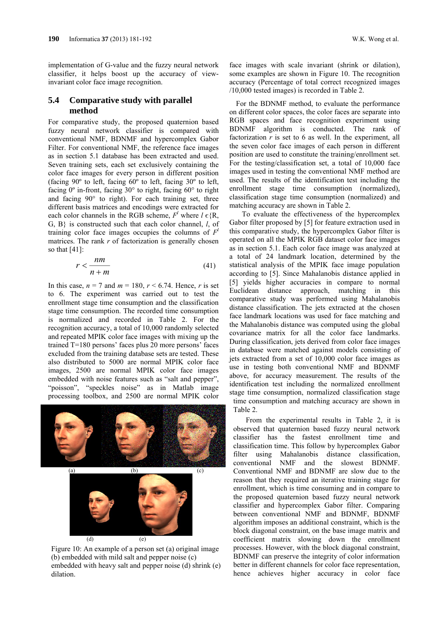implementation of G-value and the fuzzy neural network classifier, it helps boost up the accuracy of viewinvariant color face image recognition.

### **5.4 Comparative study with parallel method**

For comparative study, the proposed quaternion based fuzzy neural network classifier is compared with conventional NMF, BDNMF and hypercomplex Gabor Filter. For conventional NMF, the reference face images as in section 5.1 database has been extracted and used. Seven training sets, each set exclusively containing the color face images for every person in different position (facing 90º to left, facing 60º to left, facing 30º to left, facing 0º in-front, facing 30° to right, facing 60° to right and facing 90° to right). For each training set, three different basis matrices and encodings were extracted for each color channels in the RGB scheme,  $F^l$  where  $l \in \{R, R\}$ G, B} is constructed such that each color channel, *l*, of training color face images occupies the columns of  $F<sup>l</sup>$ matrices. The rank  $r$  of factorization is generally chosen so that [41]:

$$
r < \frac{nm}{n+m} \tag{41}
$$

In this case,  $n = 7$  and  $m = 180$ ,  $r \le 6.74$ . Hence, *r* is set to 6. The experiment was carried out to test the enrollment stage time consumption and the classification stage time consumption. The recorded time consumption is normalized and recorded in Table 2. For the recognition accuracy, a total of 10,000 randomly selected and repeated MPIK color face images with mixing up the trained T=180 persons' faces plus 20 more persons' faces excluded from the training database sets are tested. These also distributed to 5000 are normal MPIK color face images, 2500 are normal MPIK color face images embedded with noise features such as "salt and pepper", "poisson", "speckles noise" as in Matlab image processing toolbox, and 2500 are normal MPIK color



Figure 10: An example of a person set (a) original image (b) embedded with mild salt and pepper noise (c) embedded with heavy salt and pepper noise (d) shrink (e) dilation.

face images with scale invariant (shrink or dilation), some examples are shown in Figure 10. The recognition accuracy (Percentage of total correct recognized images /10,000 tested images) is recorded in Table 2.

For the BDNMF method, to evaluate the performance on different color spaces, the color faces are separate into RGB spaces and face recognition experiment using BDNMF algorithm is conducted. The rank of factorization  $r$  is set to 6 as well. In the experiment, all the seven color face images of each person in different position are used to constitute the training/enrollment set. For the testing/classification set, a total of 10,000 face images used in testing the conventional NMF method are used. The results of the identification test including the enrollment stage time consumption (normalized), classification stage time consumption (normalized) and matching accuracy are shown in Table 2.

To evaluate the effectiveness of the hypercomplex Gabor filter proposed by [5] for feature extraction used in this comparative study, the hypercomplex Gabor filter is operated on all the MPIK RGB dataset color face images as in section 5.1. Each color face image was analyzed at a total of 24 landmark location, determined by the statistical analysis of the MPIK face image population according to [5]. Since Mahalanobis distance applied in [5] yields higher accuracies in compare to normal Euclidean distance approach, matching in this comparative study was performed using Mahalanobis distance classification. The jets extracted at the chosen face landmark locations was used for face matching and the Mahalanobis distance was computed using the global covariance matrix for all the color face landmarks. During classification, jets derived from color face images in database were matched against models consisting of jets extracted from a set of 10,000 color face images as use in testing both conventional NMF and BDNMF above, for accuracy measurement. The results of the identification test including the normalized enrollment stage time consumption, normalized classification stage time consumption and matching accuracy are shown in

Table 2.

From the experimental results in Table 2, it is observed that quaternion based fuzzy neural network classifier has the fastest enrollment time and classification time. This follow by hypercomplex Gabor filter using Mahalanobis distance classification, conventional NMF and the slowest BDNMF. Conventional NMF and BDNMF are slow due to the reason that they required an iterative training stage for enrollment, which is time consuming and in compare to the proposed quaternion based fuzzy neural network classifier and hypercomplex Gabor filter. Comparing between conventional NMF and BDNMF, BDNMF algorithm imposes an additional constraint, which is the block diagonal constraint, on the base image matrix and coefficient matrix slowing down the enrollment processes. However, with the block diagonal constraint, BDNMF can preserve the integrity of color information better in different channels for color face representation, hence achieves higher accuracy in color face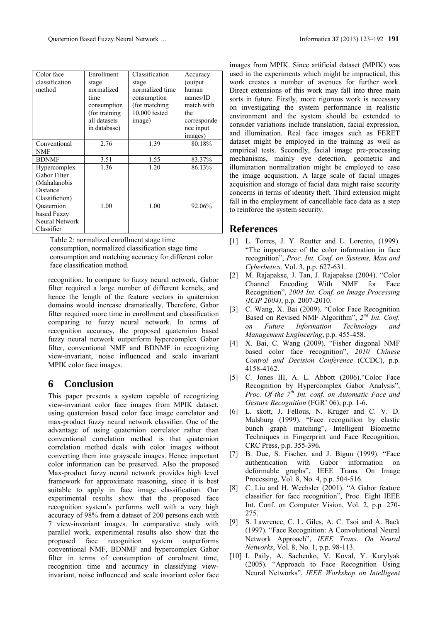| Color face     | Enrollment     | Classification  | Accuracy    |
|----------------|----------------|-----------------|-------------|
| classification | stage          | stage           | (output)    |
| method         | normalized     | normalized time | human       |
|                | time           | consumption     | names/ID    |
|                | consumption    | (for matching)  | match with  |
|                | (for training) | 10,000 tested   | the         |
|                | all datasets   | image)          | corresponde |
|                | in database)   |                 | nce input   |
|                |                |                 | images)     |
| Conventional   | 2.76           | 1.39            | 80.18%      |
| NMF            |                |                 |             |
| <b>BDNMF</b>   | 3.51           | 1.55            | 83.37%      |
| Hypercomplex   | 1.36           | 1.20            | 86.13%      |
| Gabor Filter   |                |                 |             |
| (Mahalanobis   |                |                 |             |
| Distance       |                |                 |             |
| Classifiction) |                |                 |             |
| Ouaternion     | 1.00           | 1.00            | 92.06%      |
| based Fuzzy    |                |                 |             |
| Neural Network |                |                 |             |
| Classifier     |                |                 |             |

Table 2: normalized enrollment stage time consumption, normalized classification stage time consumption and matching accuracy for different color face classification method.

recognition. In compare to fuzzy neural network, Gabor filter required a large number of different kernels, and hence the length of the feature vectors in quaternion domains would increase dramatically. Therefore, Gabor filter required more time in enrollment and classification comparing to fuzzy neural network. In terms of recognition accuracy, the proposed quaternion based fuzzy neural network outperform hypercomplex Gabor filter, conventional NMF and BDNMF in recognizing view-invariant, noise influenced and scale invariant MPIK color face images.

## **6 Conclusion**

This paper presents a system capable of recognizing view-invariant color face images from MPIK dataset, using quaternion based color face image correlator and max-product fuzzy neural network classifier. One of the advantage of using quaternion correlator rather than conventional correlation method is that quaternion correlation method deals with color images without converting them into grayscale images. Hence important color information can be preserved. Also the proposed Max-product fuzzy neural network provides high level framework for approximate reasoning, since it is best suitable to apply in face image classification. Our experimental results show that the proposed face recognition system's performs well with a very high accuracy of 98% from a dataset of 200 persons each with 7 view-invariant images. In comparative study with parallel work, experimental results also show that the proposed face recognition system outperforms conventional NMF, BDNMF and hypercomplex Gabor filter in terms of consumption of enrolment time, recognition time and accuracy in classifying viewinvariant, noise influenced and scale invariant color face

images from MPIK. Since artificial dataset (MPIK) was used in the experiments which might be impractical, this work creates a number of avenues for further work. Direct extensions of this work may fall into three main sorts in future. Firstly, more rigorous work is necessary on investigating the system performance in realistic environment and the system should be extended to consider variations include translation, facial expression, and illumination. Real face images such as FERET dataset might be employed in the training as well as empirical tests. Secondly, facial image pre-processing mechanisms, mainly eye detection, geometric and illumination normalization might be employed to ease the image acquisition. A large scale of facial images acquisition and storage of facial data might raise security concerns in terms of identity theft. Third extension might fall in the employment of cancellable face data as a step to reinforce the system security.

## **References**

- [1] L. Torres, J. Y. Reutter and L. Lorento, (1999). "The importance of the color information in face recognition", *Proc. Int. Conf. on Systems, Man and Cyberbetics,* Vol. 3, p.p. 627-631.
- [2] M. Rajapakse, J. Tan, J. Rajapakse (2004). "Color Channel Encoding With NMF for Face Recognition", *2004 Int. Conf. on Image Processing (ICIP 2004)*, p.p. 2007-2010.
- [3] C. Wang, X. Bai (2009). "Color Face Recognition Based on Revised NMF Algorithm", *2nd Int. Conf. on Future Information Technology and Management Engineering*, p.p. 455-458.
- [4] X. Bai, C. Wang (2009). "Fisher diagonal NMF based color face recognition", *2010 Chinese Control and Decision Conference* (CCDC), p.p. 4158-4162.
- [5] C. Jones III, A. L. Abbott (2006)."Color Face Recognition by Hypercomplex Gabor Analysis", *Proc. Of the 7th Int. conf. on Automatic Face and Gesture Recognition* (FGR' 06), p.p. 1-6.
- [6] L. skott, J. Fellous, N. Kruger and C. V. D. Malsburg (1999). "Face recognition by elastic bunch graph matching", Intelligent Biometric Techniques in Fingerprint and Face Recognition, CRC Press, p.p. 355-396.
- [7] B. Due, S. Fischer, and J. Bigun (1999). "Face authentication with Gabor information on deformable graphs", IEEE Trans. On Image Processing, Vol. 8, No. 4, p.p. 504-516.
- [8] C. Liu and H. Wechsler (2001). "A Gabor feature classifier for face recognition", Proc. Eight IEEE Int. Conf. on Computer Vision, Vol. 2, p.p. 270- 275.
- [9] S. Lawrence, C. L. Giles, A. C. Tsoi and A. Back (1997). "Face Recognition: A Convolutional Neural Network Approach", *IEEE Trans. On Neural Networks*, Vol. 8, No. 1, p.p. 98-113.
- [10] I. Paily, A. Sachenko, V. Koval, Y. Kurylyak (2005). "Approach to Face Recognition Using Neural Networks", *IEEE Workshop on Intelligent*